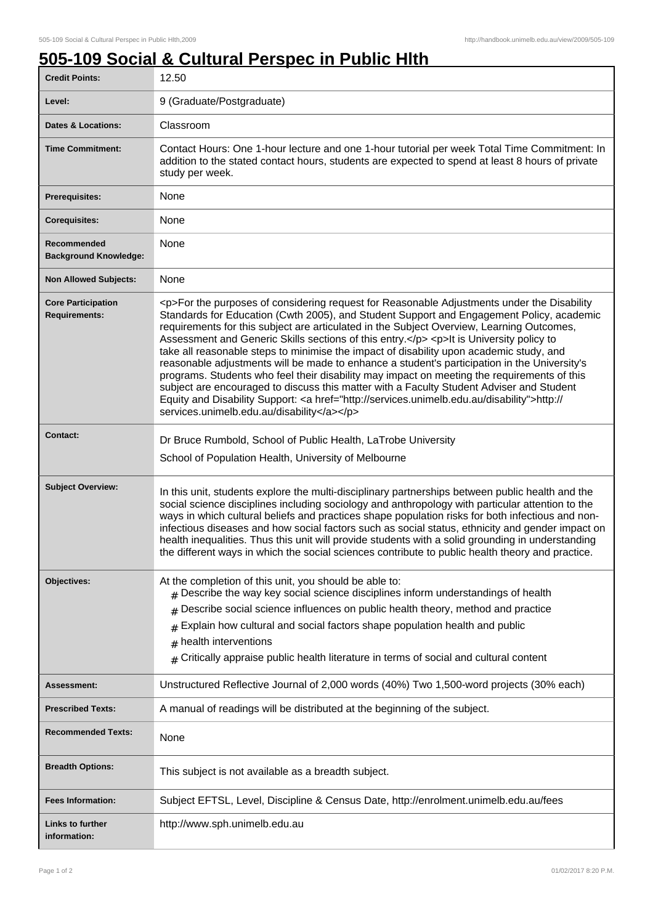٦

## **505-109 Social & Cultural Perspec in Public Hlth**

| <b>Credit Points:</b>                             | 12.50                                                                                                                                                                                                                                                                                                                                                                                                                                                                                                                                                                                                                                                                                                                                                                                                                                                                                                                        |
|---------------------------------------------------|------------------------------------------------------------------------------------------------------------------------------------------------------------------------------------------------------------------------------------------------------------------------------------------------------------------------------------------------------------------------------------------------------------------------------------------------------------------------------------------------------------------------------------------------------------------------------------------------------------------------------------------------------------------------------------------------------------------------------------------------------------------------------------------------------------------------------------------------------------------------------------------------------------------------------|
| Level:                                            | 9 (Graduate/Postgraduate)                                                                                                                                                                                                                                                                                                                                                                                                                                                                                                                                                                                                                                                                                                                                                                                                                                                                                                    |
| <b>Dates &amp; Locations:</b>                     | Classroom                                                                                                                                                                                                                                                                                                                                                                                                                                                                                                                                                                                                                                                                                                                                                                                                                                                                                                                    |
| <b>Time Commitment:</b>                           | Contact Hours: One 1-hour lecture and one 1-hour tutorial per week Total Time Commitment: In<br>addition to the stated contact hours, students are expected to spend at least 8 hours of private<br>study per week.                                                                                                                                                                                                                                                                                                                                                                                                                                                                                                                                                                                                                                                                                                          |
| <b>Prerequisites:</b>                             | None                                                                                                                                                                                                                                                                                                                                                                                                                                                                                                                                                                                                                                                                                                                                                                                                                                                                                                                         |
| <b>Corequisites:</b>                              | None                                                                                                                                                                                                                                                                                                                                                                                                                                                                                                                                                                                                                                                                                                                                                                                                                                                                                                                         |
| Recommended<br><b>Background Knowledge:</b>       | None                                                                                                                                                                                                                                                                                                                                                                                                                                                                                                                                                                                                                                                                                                                                                                                                                                                                                                                         |
| <b>Non Allowed Subjects:</b>                      | None                                                                                                                                                                                                                                                                                                                                                                                                                                                                                                                                                                                                                                                                                                                                                                                                                                                                                                                         |
| <b>Core Participation</b><br><b>Requirements:</b> | <p>For the purposes of considering request for Reasonable Adjustments under the Disability<br/>Standards for Education (Cwth 2005), and Student Support and Engagement Policy, academic<br/>requirements for this subject are articulated in the Subject Overview, Learning Outcomes,<br/>Assessment and Generic Skills sections of this entry.</p> <p>lt is University policy to<br/>take all reasonable steps to minimise the impact of disability upon academic study, and<br/>reasonable adjustments will be made to enhance a student's participation in the University's<br/>programs. Students who feel their disability may impact on meeting the requirements of this<br/>subject are encouraged to discuss this matter with a Faculty Student Adviser and Student<br/>Equity and Disability Support: &lt; a href="http://services.unimelb.edu.au/disability"&gt;http://<br/>services.unimelb.edu.au/disability</p> |
| Contact:                                          | Dr Bruce Rumbold, School of Public Health, LaTrobe University<br>School of Population Health, University of Melbourne                                                                                                                                                                                                                                                                                                                                                                                                                                                                                                                                                                                                                                                                                                                                                                                                        |
| <b>Subject Overview:</b>                          | In this unit, students explore the multi-disciplinary partnerships between public health and the<br>social science disciplines including sociology and anthropology with particular attention to the<br>ways in which cultural beliefs and practices shape population risks for both infectious and non-<br>infectious diseases and how social factors such as social status, ethnicity and gender impact on<br>health inequalities. Thus this unit will provide students with a solid grounding in understanding<br>the different ways in which the social sciences contribute to public health theory and practice.                                                                                                                                                                                                                                                                                                        |
| Objectives:                                       | At the completion of this unit, you should be able to:<br>Describe the way key social science disciplines inform understandings of health<br>#<br>Describe social science influences on public health theory, method and practice<br>#<br>Explain how cultural and social factors shape population health and public<br>#<br>health interventions<br>#<br>Critically appraise public health literature in terms of social and cultural content<br>#                                                                                                                                                                                                                                                                                                                                                                                                                                                                          |
| Assessment:                                       | Unstructured Reflective Journal of 2,000 words (40%) Two 1,500-word projects (30% each)                                                                                                                                                                                                                                                                                                                                                                                                                                                                                                                                                                                                                                                                                                                                                                                                                                      |
| <b>Prescribed Texts:</b>                          | A manual of readings will be distributed at the beginning of the subject.                                                                                                                                                                                                                                                                                                                                                                                                                                                                                                                                                                                                                                                                                                                                                                                                                                                    |
| <b>Recommended Texts:</b>                         | None                                                                                                                                                                                                                                                                                                                                                                                                                                                                                                                                                                                                                                                                                                                                                                                                                                                                                                                         |
| <b>Breadth Options:</b>                           | This subject is not available as a breadth subject.                                                                                                                                                                                                                                                                                                                                                                                                                                                                                                                                                                                                                                                                                                                                                                                                                                                                          |
| <b>Fees Information:</b>                          | Subject EFTSL, Level, Discipline & Census Date, http://enrolment.unimelb.edu.au/fees                                                                                                                                                                                                                                                                                                                                                                                                                                                                                                                                                                                                                                                                                                                                                                                                                                         |
| Links to further<br>information:                  | http://www.sph.unimelb.edu.au                                                                                                                                                                                                                                                                                                                                                                                                                                                                                                                                                                                                                                                                                                                                                                                                                                                                                                |